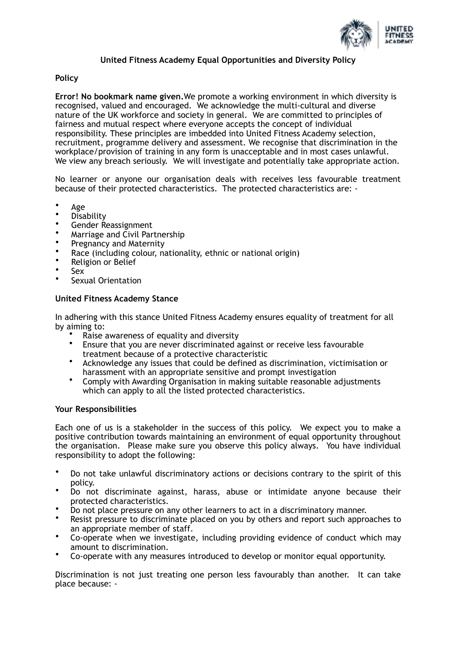

# **United Fitness Academy Equal Opportunities and Diversity Policy**

## **Policy**

**Error! No bookmark name given.**We promote a working environment in which diversity is recognised, valued and encouraged. We acknowledge the multi-cultural and diverse nature of the UK workforce and society in general. We are committed to principles of fairness and mutual respect where everyone accepts the concept of individual responsibility. These principles are imbedded into United Fitness Academy selection, recruitment, programme delivery and assessment. We recognise that discrimination in the workplace/provision of training in any form is unacceptable and in most cases unlawful. We view any breach seriously. We will investigate and potentially take appropriate action.

No learner or anyone our organisation deals with receives less favourable treatment because of their protected characteristics. The protected characteristics are: -

- Age
- **Disability**
- Gender Reassignment
- Marriage and Civil Partnership
- Pregnancy and Maternity
- Race (including colour, nationality, ethnic or national origin)
- Religion or Belief
- Sex
- Sexual Orientation

## **United Fitness Academy Stance**

In adhering with this stance United Fitness Academy ensures equality of treatment for all by aiming to:

- Raise awareness of equality and diversity
- Ensure that you are never discriminated against or receive less favourable treatment because of a protective characteristic
- Acknowledge any issues that could be defined as discrimination, victimisation or harassment with an appropriate sensitive and prompt investigation
- Comply with Awarding Organisation in making suitable reasonable adjustments which can apply to all the listed protected characteristics.

### **Your Responsibilities**

Each one of us is a stakeholder in the success of this policy. We expect you to make a positive contribution towards maintaining an environment of equal opportunity throughout the organisation. Please make sure you observe this policy always. You have individual responsibility to adopt the following:

- Do not take unlawful discriminatory actions or decisions contrary to the spirit of this policy.
- Do not discriminate against, harass, abuse or intimidate anyone because their protected characteristics.
- Do not place pressure on any other learners to act in a discriminatory manner.
- Resist pressure to discriminate placed on you by others and report such approaches to an appropriate member of staff.
- Co-operate when we investigate, including providing evidence of conduct which may amount to discrimination.
- Co-operate with any measures introduced to develop or monitor equal opportunity.

Discrimination is not just treating one person less favourably than another. It can take place because: -